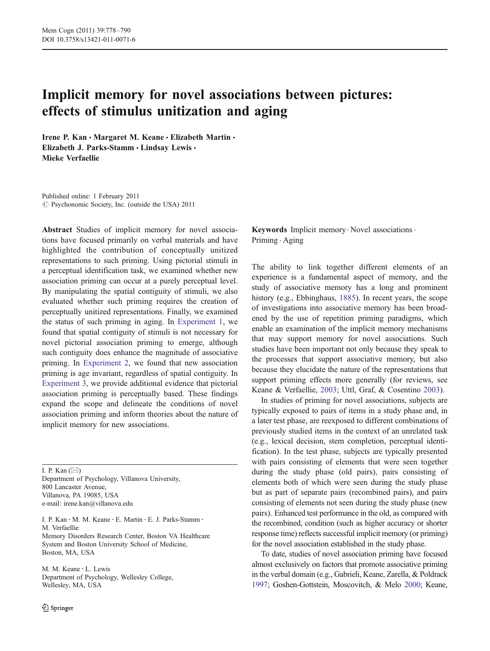# Implicit memory for novel associations between pictures: effects of stimulus unitization and aging

Irene P. Kan · Margaret M. Keane · Elizabeth Martin · Elizabeth J. Parks-Stamm · Lindsay Lewis · Mieke Verfaellie

Published online: 1 February 2011  $\circled{C}$  Psychonomic Society, Inc. (outside the USA) 2011

Abstract Studies of implicit memory for novel associations have focused primarily on verbal materials and have highlighted the contribution of conceptually unitized representations to such priming. Using pictorial stimuli in a perceptual identification task, we examined whether new association priming can occur at a purely perceptual level. By manipulating the spatial contiguity of stimuli, we also evaluated whether such priming requires the creation of perceptually unitized representations. Finally, we examined the status of such priming in aging. In [Experiment 1](#page-2-0), we found that spatial contiguity of stimuli is not necessary for novel pictorial association priming to emerge, although such contiguity does enhance the magnitude of associative priming. In [Experiment 2](#page-6-0), we found that new association priming is age invariant, regardless of spatial contiguity. In [Experiment 3,](#page-9-0) we provide additional evidence that pictorial association priming is perceptually based. These findings expand the scope and delineate the conditions of novel association priming and inform theories about the nature of implicit memory for new associations.

I. P. Kan  $(\boxtimes)$ Department of Psychology, Villanova University, 800 Lancaster Avenue, Villanova, PA 19085, USA e-mail: irene.kan@villanova.edu

I. P. Kan : M. M. Keane : E. Martin : E. J. Parks-Stamm : M. Verfaellie Memory Disorders Research Center, Boston VA Healthcare System and Boston University School of Medicine, Boston, MA, USA

M. M. Keane : L. Lewis Department of Psychology, Wellesley College, Wellesley, MA, USA

Keywords Implicit memory . Novel associations . Priming . Aging

The ability to link together different elements of an experience is a fundamental aspect of memory, and the study of associative memory has a long and prominent history (e.g., Ebbinghaus, [1885\)](#page-11-0). In recent years, the scope of investigations into associative memory has been broadened by the use of repetition priming paradigms, which enable an examination of the implicit memory mechanisms that may support memory for novel associations. Such studies have been important not only because they speak to the processes that support associative memory, but also because they elucidate the nature of the representations that support priming effects more generally (for reviews, see Keane & Verfaellie, [2003;](#page-11-0) Uttl, Graf, & Cosentino [2003\)](#page-12-0).

In studies of priming for novel associations, subjects are typically exposed to pairs of items in a study phase and, in a later test phase, are reexposed to different combinations of previously studied items in the context of an unrelated task (e.g., lexical decision, stem completion, perceptual identification). In the test phase, subjects are typically presented with pairs consisting of elements that were seen together during the study phase (old pairs), pairs consisting of elements both of which were seen during the study phase but as part of separate pairs (recombined pairs), and pairs consisting of elements not seen during the study phase (new pairs). Enhanced test performance in the old, as compared with the recombined, condition (such as higher accuracy or shorter response time) reflects successful implicit memory (or priming) for the novel association established in the study phase.

To date, studies of novel association priming have focused almost exclusively on factors that promote associative priming in the verbal domain (e.g., Gabrieli, Keane, Zarella, & Poldrack [1997](#page-11-0); Goshen-Gottstein, Moscovitch, & Melo [2000;](#page-11-0) Keane,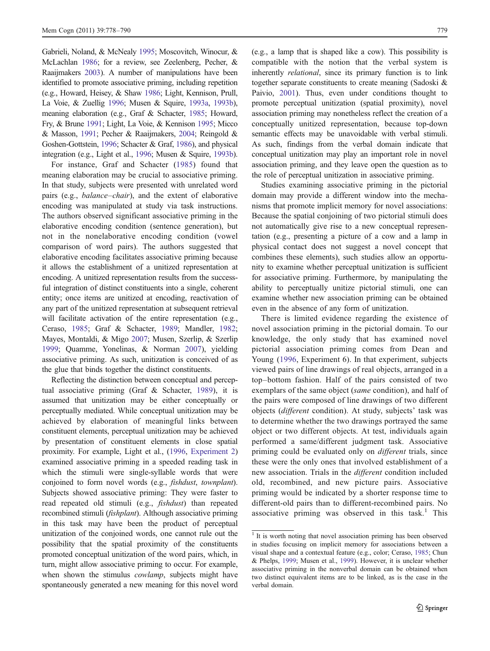Gabrieli, Noland, & McNealy [1995](#page-11-0); Moscovitch, Winocur, & McLachlan [1986](#page-12-0); for a review, see Zeelenberg, Pecher, & Raaijmakers [2003](#page-12-0)). A number of manipulations have been identified to promote associative priming, including repetition (e.g., Howard, Heisey, & Shaw [1986;](#page-11-0) Light, Kennison, Prull, La Voie, & Zuellig [1996;](#page-12-0) Musen & Squire, [1993a](#page-12-0), [1993b\)](#page-12-0), meaning elaboration (e.g., Graf & Schacter, [1985](#page-11-0); Howard, Fry, & Brune [1991](#page-11-0); Light, La Voie, & Kennison [1995](#page-12-0); Micco & Masson, [1991](#page-12-0); Pecher & Raaijmakers, [2004;](#page-12-0) Reingold & Goshen-Gottstein, [1996;](#page-12-0) Schacter & Graf, [1986](#page-12-0)), and physical integration (e.g., Light et al., [1996;](#page-12-0) Musen & Squire, [1993b\)](#page-12-0).

For instance, Graf and Schacter [\(1985\)](#page-11-0) found that meaning elaboration may be crucial to associative priming. In that study, subjects were presented with unrelated word pairs (e.g., balance–chair), and the extent of elaborative encoding was manipulated at study via task instructions. The authors observed significant associative priming in the elaborative encoding condition (sentence generation), but not in the nonelaborative encoding condition (vowel comparison of word pairs). The authors suggested that elaborative encoding facilitates associative priming because it allows the establishment of a unitized representation at encoding. A unitized representation results from the successful integration of distinct constituents into a single, coherent entity; once items are unitized at encoding, reactivation of any part of the unitized representation at subsequent retrieval will facilitate activation of the entire representation (e.g., Ceraso, [1985;](#page-11-0) Graf & Schacter, [1989;](#page-11-0) Mandler, [1982](#page-12-0); Mayes, Montaldi, & Migo [2007](#page-12-0); Musen, Szerlip, & Szerlip [1999;](#page-12-0) Quamme, Yonelinas, & Norman [2007\)](#page-12-0), yielding associative priming. As such, unitization is conceived of as the glue that binds together the distinct constituents.

Reflecting the distinction between conceptual and perceptual associative priming (Graf & Schacter, [1989\)](#page-11-0), it is assumed that unitization may be either conceptually or perceptually mediated. While conceptual unitization may be achieved by elaboration of meaningful links between constituent elements, perceptual unitization may be achieved by presentation of constituent elements in close spatial proximity. For example, Light et al., [\(1996,](#page-12-0) [Experiment 2\)](#page-6-0) examined associative priming in a speeded reading task in which the stimuli were single-syllable words that were conjoined to form novel words (e.g., fishdust, townplant). Subjects showed associative priming: They were faster to read repeated old stimuli (e.g., fishdust) than repeated recombined stimuli (fishplant). Although associative priming in this task may have been the product of perceptual unitization of the conjoined words, one cannot rule out the possibility that the spatial proximity of the constituents promoted conceptual unitization of the word pairs, which, in turn, might allow associative priming to occur. For example, when shown the stimulus *cowlamp*, subjects might have spontaneously generated a new meaning for this novel word (e.g., a lamp that is shaped like a cow). This possibility is compatible with the notion that the verbal system is inherently relational, since its primary function is to link together separate constituents to create meaning (Sadoski & Paivio, [2001\)](#page-12-0). Thus, even under conditions thought to promote perceptual unitization (spatial proximity), novel association priming may nonetheless reflect the creation of a conceptually unitized representation, because top-down semantic effects may be unavoidable with verbal stimuli. As such, findings from the verbal domain indicate that conceptual unitization may play an important role in novel association priming, and they leave open the question as to the role of perceptual unitization in associative priming.

Studies examining associative priming in the pictorial domain may provide a different window into the mechanisms that promote implicit memory for novel associations: Because the spatial conjoining of two pictorial stimuli does not automatically give rise to a new conceptual representation (e.g., presenting a picture of a cow and a lamp in physical contact does not suggest a novel concept that combines these elements), such studies allow an opportunity to examine whether perceptual unitization is sufficient for associative priming. Furthermore, by manipulating the ability to perceptually unitize pictorial stimuli, one can examine whether new association priming can be obtained even in the absence of any form of unitization.

There is limited evidence regarding the existence of novel association priming in the pictorial domain. To our knowledge, the only study that has examined novel pictorial association priming comes from Dean and Young ([1996](#page-11-0), Experiment 6). In that experiment, subjects viewed pairs of line drawings of real objects, arranged in a top–bottom fashion. Half of the pairs consisted of two exemplars of the same object (same condition), and half of the pairs were composed of line drawings of two different objects (different condition). At study, subjects' task was to determine whether the two drawings portrayed the same object or two different objects. At test, individuals again performed a same/different judgment task. Associative priming could be evaluated only on *different* trials, since these were the only ones that involved establishment of a new association. Trials in the different condition included old, recombined, and new picture pairs. Associative priming would be indicated by a shorter response time to different-old pairs than to different-recombined pairs. No associative priming was observed in this task.<sup>1</sup> This

<sup>&</sup>lt;sup>1</sup> It is worth noting that novel association priming has been observed in studies focusing on implicit memory for associations between a visual shape and a contextual feature (e.g., color; Ceraso, [1985](#page-11-0); Chun & Phelps, [1999](#page-11-0); Musen et al., [1999](#page-12-0)). However, it is unclear whether associative priming in the nonverbal domain can be obtained when two distinct equivalent items are to be linked, as is the case in the verbal domain.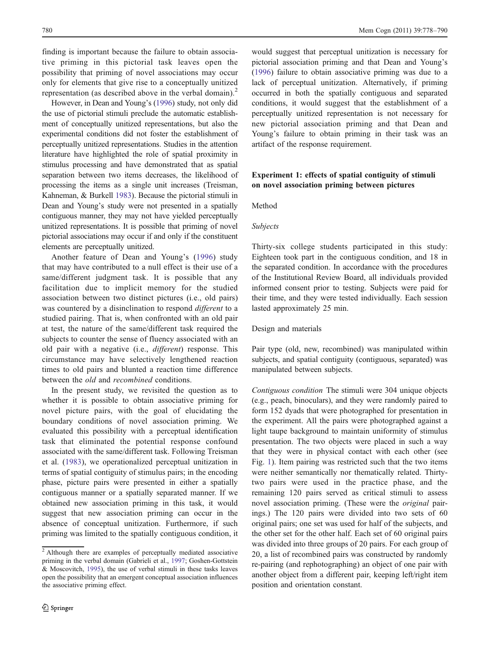<span id="page-2-0"></span>finding is important because the failure to obtain associative priming in this pictorial task leaves open the possibility that priming of novel associations may occur only for elements that give rise to a conceptually unitized representation (as described above in the verbal domain).<sup>2</sup>

However, in Dean and Young's ([1996](#page-11-0)) study, not only did the use of pictorial stimuli preclude the automatic establishment of conceptually unitized representations, but also the experimental conditions did not foster the establishment of perceptually unitized representations. Studies in the attention literature have highlighted the role of spatial proximity in stimulus processing and have demonstrated that as spatial separation between two items decreases, the likelihood of processing the items as a single unit increases (Treisman, Kahneman, & Burkell [1983\)](#page-12-0). Because the pictorial stimuli in Dean and Young's study were not presented in a spatially contiguous manner, they may not have yielded perceptually unitized representations. It is possible that priming of novel pictorial associations may occur if and only if the constituent elements are perceptually unitized.

Another feature of Dean and Young's ([1996\)](#page-11-0) study that may have contributed to a null effect is their use of a same/different judgment task. It is possible that any facilitation due to implicit memory for the studied association between two distinct pictures (i.e., old pairs) was countered by a disinclination to respond different to a studied pairing. That is, when confronted with an old pair at test, the nature of the same/different task required the subjects to counter the sense of fluency associated with an old pair with a negative (i.e., different) response. This circumstance may have selectively lengthened reaction times to old pairs and blunted a reaction time difference between the old and recombined conditions.

In the present study, we revisited the question as to whether it is possible to obtain associative priming for novel picture pairs, with the goal of elucidating the boundary conditions of novel association priming. We evaluated this possibility with a perceptual identification task that eliminated the potential response confound associated with the same/different task. Following Treisman et al. [\(1983](#page-12-0)), we operationalized perceptual unitization in terms of spatial contiguity of stimulus pairs; in the encoding phase, picture pairs were presented in either a spatially contiguous manner or a spatially separated manner. If we obtained new association priming in this task, it would suggest that new association priming can occur in the absence of conceptual unitization. Furthermore, if such priming was limited to the spatially contiguous condition, it

would suggest that perceptual unitization is necessary for pictorial association priming and that Dean and Young's [\(1996](#page-11-0)) failure to obtain associative priming was due to a lack of perceptual unitization. Alternatively, if priming occurred in both the spatially contiguous and separated conditions, it would suggest that the establishment of a perceptually unitized representation is not necessary for new pictorial association priming and that Dean and Young's failure to obtain priming in their task was an artifact of the response requirement.

# Experiment 1: effects of spatial contiguity of stimuli on novel association priming between pictures

Method

## Subjects

Thirty-six college students participated in this study: Eighteen took part in the contiguous condition, and 18 in the separated condition. In accordance with the procedures of the Institutional Review Board, all individuals provided informed consent prior to testing. Subjects were paid for their time, and they were tested individually. Each session lasted approximately 25 min.

#### Design and materials

Pair type (old, new, recombined) was manipulated within subjects, and spatial contiguity (contiguous, separated) was manipulated between subjects.

Contiguous condition The stimuli were 304 unique objects (e.g., peach, binoculars), and they were randomly paired to form 152 dyads that were photographed for presentation in the experiment. All the pairs were photographed against a light taupe background to maintain uniformity of stimulus presentation. The two objects were placed in such a way that they were in physical contact with each other (see Fig. [1](#page-3-0)). Item pairing was restricted such that the two items were neither semantically nor thematically related. Thirtytwo pairs were used in the practice phase, and the remaining 120 pairs served as critical stimuli to assess novel association priming. (These were the original pairings.) The 120 pairs were divided into two sets of 60 original pairs; one set was used for half of the subjects, and the other set for the other half. Each set of 60 original pairs was divided into three groups of 20 pairs. For each group of 20, a list of recombined pairs was constructed by randomly re-pairing (and rephotographing) an object of one pair with another object from a different pair, keeping left/right item position and orientation constant.

<sup>2</sup> Although there are examples of perceptually mediated associative priming in the verbal domain (Gabrieli et al., [1997](#page-11-0); Goshen-Gottstein & Moscovitch, [1995\)](#page-11-0), the use of verbal stimuli in these tasks leaves open the possibility that an emergent conceptual association influences the associative priming effect.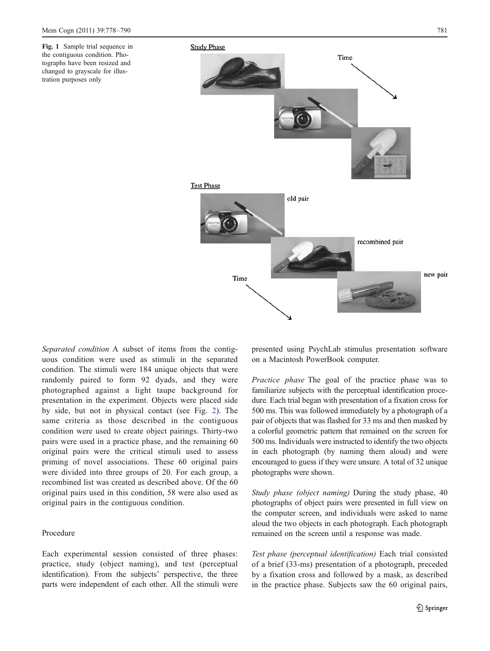<span id="page-3-0"></span>Fig. 1 Sample trial sequence in the contiguous condition. Photographs have been resized and changed to grayscale for illustration purposes only



Separated condition A subset of items from the contiguous condition were used as stimuli in the separated condition. The stimuli were 184 unique objects that were randomly paired to form 92 dyads, and they were photographed against a light taupe background for presentation in the experiment. Objects were placed side by side, but not in physical contact (see Fig. [2\)](#page-4-0). The same criteria as those described in the contiguous condition were used to create object pairings. Thirty-two pairs were used in a practice phase, and the remaining 60 original pairs were the critical stimuli used to assess priming of novel associations. These 60 original pairs were divided into three groups of 20. For each group, a recombined list was created as described above. Of the 60 original pairs used in this condition, 58 were also used as original pairs in the contiguous condition.

## Procedure

Each experimental session consisted of three phases: practice, study (object naming), and test (perceptual identification). From the subjects' perspective, the three parts were independent of each other. All the stimuli were presented using PsychLab stimulus presentation software on a Macintosh PowerBook computer.

Practice phase The goal of the practice phase was to familiarize subjects with the perceptual identification procedure. Each trial began with presentation of a fixation cross for 500 ms. This was followed immediately by a photograph of a pair of objects that was flashed for 33 ms and then masked by a colorful geometric pattern that remained on the screen for 500 ms. Individuals were instructed to identify the two objects in each photograph (by naming them aloud) and were encouraged to guess if they were unsure. A total of 32 unique photographs were shown.

Study phase (object naming) During the study phase, 40 photographs of object pairs were presented in full view on the computer screen, and individuals were asked to name aloud the two objects in each photograph. Each photograph remained on the screen until a response was made.

Test phase (perceptual identification) Each trial consisted of a brief (33-ms) presentation of a photograph, preceded by a fixation cross and followed by a mask, as described in the practice phase. Subjects saw the 60 original pairs,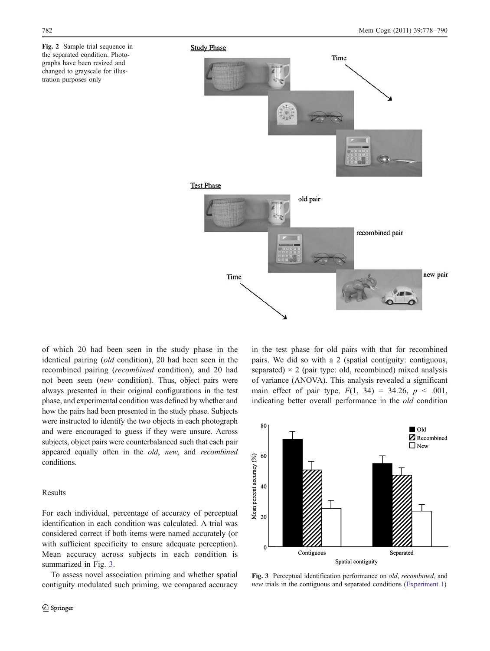<span id="page-4-0"></span>Fig. 2 Sample trial sequence in the separated condition. Photographs have been resized and changed to grayscale for illustration purposes only



of which 20 had been seen in the study phase in the identical pairing (old condition), 20 had been seen in the recombined pairing (recombined condition), and 20 had not been seen (new condition). Thus, object pairs were always presented in their original configurations in the test phase, and experimental condition was defined by whether and how the pairs had been presented in the study phase. Subjects were instructed to identify the two objects in each photograph and were encouraged to guess if they were unsure. Across subjects, object pairs were counterbalanced such that each pair appeared equally often in the old, new, and recombined conditions.

## Results

For each individual, percentage of accuracy of perceptual identification in each condition was calculated. A trial was considered correct if both items were named accurately (or with sufficient specificity to ensure adequate perception). Mean accuracy across subjects in each condition is summarized in Fig. 3.

To assess novel association priming and whether spatial contiguity modulated such priming, we compared accuracy in the test phase for old pairs with that for recombined pairs. We did so with a 2 (spatial contiguity: contiguous, separated)  $\times$  2 (pair type: old, recombined) mixed analysis of variance (ANOVA). This analysis revealed a significant main effect of pair type,  $F(1, 34) = 34.26$ ,  $p < .001$ , indicating better overall performance in the old condition



Fig. 3 Perceptual identification performance on old, recombined, and new trials in the contiguous and separated conditions ([Experiment 1](#page-2-0))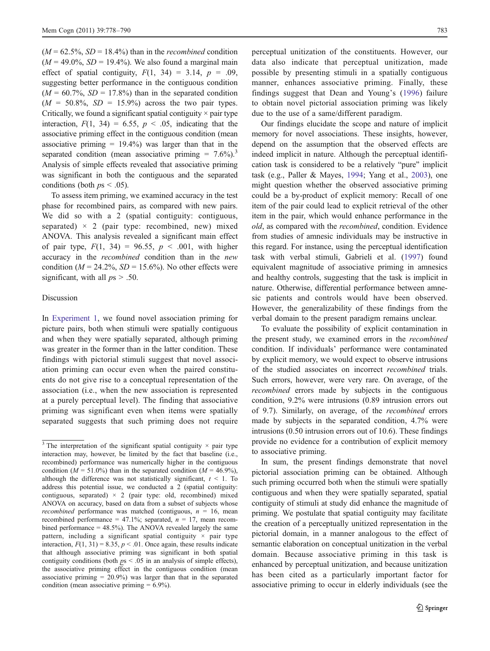<span id="page-5-0"></span> $(M = 62.5\%$ ,  $SD = 18.4\%$  than in the *recombined* condition  $(M = 49.0\%, SD = 19.4\%)$ . We also found a marginal main effect of spatial contiguity,  $F(1, 34) = 3.14$ ,  $p = .09$ , suggesting better performance in the contiguous condition  $(M = 60.7\%$ ,  $SD = 17.8\%$  than in the separated condition  $(M = 50.8\%, SD = 15.9\%)$  across the two pair types. Critically, we found a significant spatial contiguity  $\times$  pair type interaction,  $F(1, 34) = 6.55$ ,  $p < .05$ , indicating that the associative priming effect in the contiguous condition (mean associative priming  $= 19.4\%$ ) was larger than that in the separated condition (mean associative priming  $= 7.6\%$ ).<sup>3</sup> Analysis of simple effects revealed that associative priming was significant in both the contiguous and the separated conditions (both  $ps < .05$ ).

To assess item priming, we examined accuracy in the test phase for recombined pairs, as compared with new pairs. We did so with a 2 (spatial contiguity: contiguous, separated)  $\times$  2 (pair type: recombined, new) mixed ANOVA. This analysis revealed a significant main effect of pair type,  $F(1, 34) = 96.55$ ,  $p < .001$ , with higher accuracy in the recombined condition than in the new condition ( $M = 24.2\%$ ,  $SD = 15.6\%$ ). No other effects were significant, with all  $ps > .50$ .

#### Discussion

In [Experiment 1,](#page-2-0) we found novel association priming for picture pairs, both when stimuli were spatially contiguous and when they were spatially separated, although priming was greater in the former than in the latter condition. These findings with pictorial stimuli suggest that novel association priming can occur even when the paired constituents do not give rise to a conceptual representation of the association (i.e., when the new association is represented at a purely perceptual level). The finding that associative priming was significant even when items were spatially separated suggests that such priming does not require

perceptual unitization of the constituents. However, our data also indicate that perceptual unitization, made possible by presenting stimuli in a spatially contiguous manner, enhances associative priming. Finally, these findings suggest that Dean and Young's ([1996](#page-11-0)) failure to obtain novel pictorial association priming was likely due to the use of a same/different paradigm.

Our findings elucidate the scope and nature of implicit memory for novel associations. These insights, however, depend on the assumption that the observed effects are indeed implicit in nature. Although the perceptual identification task is considered to be a relatively "pure" implicit task (e.g., Paller & Mayes, [1994;](#page-12-0) Yang et al., [2003](#page-12-0)), one might question whether the observed associative priming could be a by-product of explicit memory: Recall of one item of the pair could lead to explicit retrieval of the other item in the pair, which would enhance performance in the old, as compared with the recombined, condition. Evidence from studies of amnesic individuals may be instructive in this regard. For instance, using the perceptual identification task with verbal stimuli, Gabrieli et al. [\(1997](#page-11-0)) found equivalent magnitude of associative priming in amnesics and healthy controls, suggesting that the task is implicit in nature. Otherwise, differential performance between amnesic patients and controls would have been observed. However, the generalizability of these findings from the verbal domain to the present paradigm remains unclear.

To evaluate the possibility of explicit contamination in the present study, we examined errors in the recombined condition. If individuals' performance were contaminated by explicit memory, we would expect to observe intrusions of the studied associates on incorrect recombined trials. Such errors, however, were very rare. On average, of the recombined errors made by subjects in the contiguous condition, 9.2% were intrusions (0.89 intrusion errors out of 9.7). Similarly, on average, of the recombined errors made by subjects in the separated condition, 4.7% were intrusions (0.50 intrusion errors out of 10.6). These findings provide no evidence for a contribution of explicit memory to associative priming.

In sum, the present findings demonstrate that novel pictorial association priming can be obtained. Although such priming occurred both when the stimuli were spatially contiguous and when they were spatially separated, spatial contiguity of stimuli at study did enhance the magnitude of priming. We postulate that spatial contiguity may facilitate the creation of a perceptually unitized representation in the pictorial domain, in a manner analogous to the effect of semantic elaboration on conceptual unitization in the verbal domain. Because associative priming in this task is enhanced by perceptual unitization, and because unitization has been cited as a particularly important factor for associative priming to occur in elderly individuals (see the

<sup>&</sup>lt;sup>3</sup> The interpretation of the significant spatial contiguity  $\times$  pair type interaction may, however, be limited by the fact that baseline (i.e., recombined) performance was numerically higher in the contiguous condition ( $M = 51.0\%$ ) than in the separated condition ( $M = 46.9\%$ ), although the difference was not statistically significant,  $t < 1$ . To address this potential issue, we conducted a 2 (spatial contiguity: contiguous, separated)  $\times$  2 (pair type: old, recombined) mixed ANOVA on accuracy, based on data from a subset of subjects whose *recombined* performance was matched (contiguous,  $n = 16$ , mean recombined performance = 47.1%; separated,  $n = 17$ , mean recombined performance  $= 48.5\%$ ). The ANOVA revealed largely the same pattern, including a significant spatial contiguity  $\times$  pair type interaction,  $F(1, 31) = 8.35$ ,  $p < .01$ . Once again, these results indicate that although associative priming was significant in both spatial contiguity conditions (both  $ps < .05$  in an analysis of simple effects), the associative priming effect in the contiguous condition (mean associative priming  $= 20.9\%$ ) was larger than that in the separated condition (mean associative priming  $= 6.9\%$ ).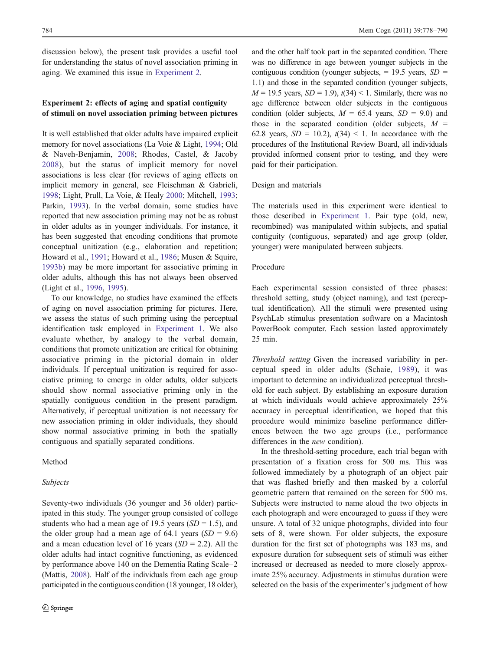<span id="page-6-0"></span>discussion below), the present task provides a useful tool for understanding the status of novel association priming in aging. We examined this issue in Experiment 2.

# Experiment 2: effects of aging and spatial contiguity of stimuli on novel association priming between pictures

It is well established that older adults have impaired explicit memory for novel associations (La Voie & Light, [1994](#page-11-0); Old & Naveh-Benjamin, [2008;](#page-12-0) Rhodes, Castel, & Jacoby [2008\)](#page-12-0), but the status of implicit memory for novel associations is less clear (for reviews of aging effects on implicit memory in general, see Fleischman & Gabrieli, [1998;](#page-11-0) Light, Prull, La Voie, & Healy [2000](#page-12-0); Mitchell, [1993](#page-12-0); Parkin, [1993](#page-12-0)). In the verbal domain, some studies have reported that new association priming may not be as robust in older adults as in younger individuals. For instance, it has been suggested that encoding conditions that promote conceptual unitization (e.g., elaboration and repetition; Howard et al., [1991](#page-11-0); Howard et al., [1986](#page-11-0); Musen & Squire, [1993b\)](#page-12-0) may be more important for associative priming in older adults, although this has not always been observed (Light et al., [1996,](#page-12-0) [1995](#page-12-0)).

To our knowledge, no studies have examined the effects of aging on novel association priming for pictures. Here, we assess the status of such priming using the perceptual identification task employed in [Experiment 1](#page-2-0). We also evaluate whether, by analogy to the verbal domain, conditions that promote unitization are critical for obtaining associative priming in the pictorial domain in older individuals. If perceptual unitization is required for associative priming to emerge in older adults, older subjects should show normal associative priming only in the spatially contiguous condition in the present paradigm. Alternatively, if perceptual unitization is not necessary for new association priming in older individuals, they should show normal associative priming in both the spatially contiguous and spatially separated conditions.

#### Method

#### Subjects

Seventy-two individuals (36 younger and 36 older) participated in this study. The younger group consisted of college students who had a mean age of 19.5 years  $(SD = 1.5)$ , and the older group had a mean age of 64.1 years  $(SD = 9.6)$ and a mean education level of 16 years  $(SD = 2.2)$ . All the older adults had intact cognitive functioning, as evidenced by performance above 140 on the Dementia Rating Scale–2 (Mattis, [2008\)](#page-12-0). Half of the individuals from each age group participated in the contiguous condition (18 younger, 18 older),

and the other half took part in the separated condition. There was no difference in age between younger subjects in the contiguous condition (younger subjects,  $= 19.5$  years,  $SD =$ 1.1) and those in the separated condition (younger subjects,  $M = 19.5$  years,  $SD = 1.9$ ),  $t(34) < 1$ . Similarly, there was no age difference between older subjects in the contiguous condition (older subjects,  $M = 65.4$  years,  $SD = 9.0$ ) and those in the separated condition (older subjects,  $M =$ 62.8 years,  $SD = 10.2$ ),  $t(34) < 1$ . In accordance with the procedures of the Institutional Review Board, all individuals provided informed consent prior to testing, and they were paid for their participation.

#### Design and materials

The materials used in this experiment were identical to those described in [Experiment 1.](#page-2-0) Pair type (old, new, recombined) was manipulated within subjects, and spatial contiguity (contiguous, separated) and age group (older, younger) were manipulated between subjects.

## Procedure

Each experimental session consisted of three phases: threshold setting, study (object naming), and test (perceptual identification). All the stimuli were presented using PsychLab stimulus presentation software on a Macintosh PowerBook computer. Each session lasted approximately 25 min.

Threshold setting Given the increased variability in perceptual speed in older adults (Schaie, [1989](#page-12-0)), it was important to determine an individualized perceptual threshold for each subject. By establishing an exposure duration at which individuals would achieve approximately 25% accuracy in perceptual identification, we hoped that this procedure would minimize baseline performance differences between the two age groups (i.e., performance differences in the *new* condition).

In the threshold-setting procedure, each trial began with presentation of a fixation cross for 500 ms. This was followed immediately by a photograph of an object pair that was flashed briefly and then masked by a colorful geometric pattern that remained on the screen for 500 ms. Subjects were instructed to name aloud the two objects in each photograph and were encouraged to guess if they were unsure. A total of 32 unique photographs, divided into four sets of 8, were shown. For older subjects, the exposure duration for the first set of photographs was 183 ms, and exposure duration for subsequent sets of stimuli was either increased or decreased as needed to more closely approximate 25% accuracy. Adjustments in stimulus duration were selected on the basis of the experimenter's judgment of how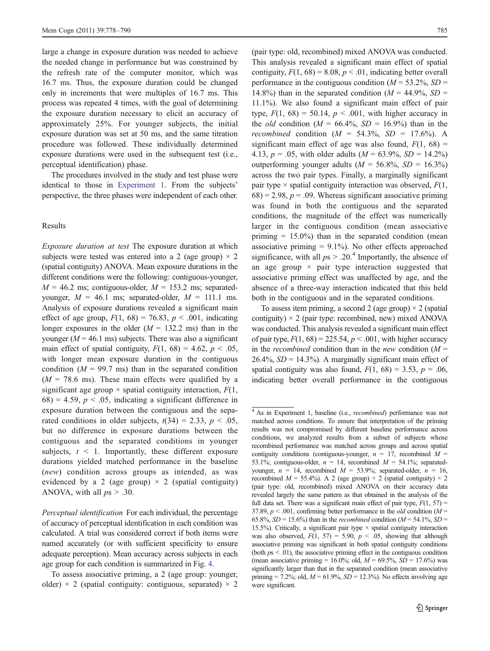large a change in exposure duration was needed to achieve the needed change in performance but was constrained by the refresh rate of the computer monitor, which was 16.7 ms. Thus, the exposure duration could be changed only in increments that were multiples of 16.7 ms. This process was repeated 4 times, with the goal of determining the exposure duration necessary to elicit an accuracy of approximately 25%. For younger subjects, the initial exposure duration was set at 50 ms, and the same titration procedure was followed. These individually determined exposure durations were used in the subsequent test (i.e., perceptual identification) phase.

The procedures involved in the study and test phase were identical to those in [Experiment 1.](#page-2-0) From the subjects' perspective, the three phases were independent of each other.

#### Results

Exposure duration at test The exposure duration at which subjects were tested was entered into a 2 (age group)  $\times$  2 (spatial contiguity) ANOVA. Mean exposure durations in the different conditions were the following: contiguous-younger,  $M = 46.2$  ms; contiguous-older,  $M = 153.2$  ms; separatedyounger,  $M = 46.1$  ms; separated-older,  $M = 111.1$  ms. Analysis of exposure durations revealed a significant main effect of age group,  $F(1, 68) = 76.83$ ,  $p < .001$ , indicating longer exposures in the older  $(M = 132.2 \text{ ms})$  than in the younger ( $M = 46.1$  ms) subjects. There was also a significant main effect of spatial contiguity,  $F(1, 68) = 4.62$ ,  $p < .05$ , with longer mean exposure duration in the contiguous condition  $(M = 99.7 \text{ ms})$  than in the separated condition  $(M = 78.6 \text{ ms})$ . These main effects were qualified by a significant age group  $\times$  spatial contiguity interaction,  $F(1, \cdot)$  $68$ ) = 4.59,  $p < .05$ , indicating a significant difference in exposure duration between the contiguous and the separated conditions in older subjects,  $t(34) = 2.33$ ,  $p < .05$ , but no difference in exposure durations between the contiguous and the separated conditions in younger subjects,  $t \leq 1$ . Importantly, these different exposure durations yielded matched performance in the baseline (new) condition across groups as intended, as was evidenced by a 2 (age group)  $\times$  2 (spatial contiguity) ANOVA, with all  $ps > .30$ .

Perceptual identification For each individual, the percentage of accuracy of perceptual identification in each condition was calculated. A trial was considered correct if both items were named accurately (or with sufficient specificity to ensure adequate perception). Mean accuracy across subjects in each age group for each condition is summarized in Fig. [4](#page-8-0).

To assess associative priming, a 2 (age group: younger, older)  $\times$  2 (spatial contiguity: contiguous, separated)  $\times$  2

(pair type: old, recombined) mixed ANOVA was conducted. This analysis revealed a significant main effect of spatial contiguity,  $F(1, 68) = 8.08$ ,  $p < .01$ , indicating better overall performance in the contiguous condition ( $M = 53.2\%$ , SD = 14.8%) than in the separated condition ( $M = 44.9\%$ ,  $SD =$ 11.1%). We also found a significant main effect of pair type,  $F(1, 68) = 50.14$ ,  $p < .001$ , with higher accuracy in the *old* condition ( $M = 66.4\%$ ,  $SD = 16.9\%$ ) than in the recombined condition ( $M = 54.3\%$ ,  $SD = 17.6\%$ ). A significant main effect of age was also found,  $F(1, 68) =$ 4.13,  $p = .05$ , with older adults ( $M = 63.9\%$ ,  $SD = 14.2\%$ ) outperforming younger adults ( $M = 56.8\%$ ,  $SD = 16.3\%$ ) across the two pair types. Finally, a marginally significant pair type  $\times$  spatial contiguity interaction was observed,  $F(1, \cdot)$  $(68) = 2.98$ ,  $p = .09$ . Whereas significant associative priming was found in both the contiguous and the separated conditions, the magnitude of the effect was numerically larger in the contiguous condition (mean associative priming  $= 15.0\%$ ) than in the separated condition (mean associative priming  $= 9.1\%$ ). No other effects approached significance, with all  $ps > .20$ .<sup>4</sup> Importantly, the absence of an age group  $\times$  pair type interaction suggested that associative priming effect was unaffected by age, and the absence of a three-way interaction indicated that this held both in the contiguous and in the separated conditions.

To assess item priming, a second 2 (age group)  $\times$  2 (spatial contiguity)  $\times$  2 (pair type: recombined, new) mixed ANOVA was conducted. This analysis revealed a significant main effect of pair type,  $F(1, 68) = 225.54$ ,  $p < .001$ , with higher accuracy in the *recombined* condition than in the *new* condition  $(M =$  $26.4\%$ ,  $SD = 14.3\%$ ). A marginally significant main effect of spatial contiguity was also found,  $F(1, 68) = 3.53$ ,  $p = .06$ , indicating better overall performance in the contiguous

<sup>&</sup>lt;sup>4</sup> As in Experiment 1, baseline (i.e., *recombined*) performance was not matched across conditions. To ensure that interpretation of the priming results was not compromised by different baseline performance across conditions, we analyzed results from a subset of subjects whose recombined performance was matched across groups and across spatial contiguity conditions (contiguous-younger,  $n = 17$ , recombined  $M =$ 53.1%; contiguous-older,  $n = 14$ , recombined  $M = 54.1\%$ ; separatedyounger,  $n = 14$ , recombined  $M = 53.9\%$ ; separated-older,  $n = 16$ , recombined  $M = 55.4\%$ ). A 2 (age group)  $\times$  2 (spatial contiguity)  $\times$  2 (pair type: old, recombined) mixed ANOVA on their accuracy data revealed largely the same pattern as that obtained in the analysis of the full data set. There was a significant main effect of pair type,  $F(1, 57)$  = 37.89,  $p < .001$ , confirming better performance in the *old* condition ( $M =$ 65.8%,  $SD = 15.6\%$ ) than in the *recombined* condition ( $M = 54.1\%$ ,  $SD =$ 15.5%). Critically, a significant pair type  $\times$  spatial contiguity interaction was also observed,  $F(1, 57) = 5.90$ ,  $p < .05$ , showing that although associative priming was significant in both spatial contiguity conditions (both  $ps < .01$ ), the associative priming effect in the contiguous condition (mean associative priming = 16.0%; old,  $M = 69.5\%$ ,  $SD = 17.6\%$ ) was significantly larger than that in the separated condition (mean associative priming = 7.2%; old,  $M = 61.9\%$ ,  $SD = 12.3\%$ ). No effects involving age were significant.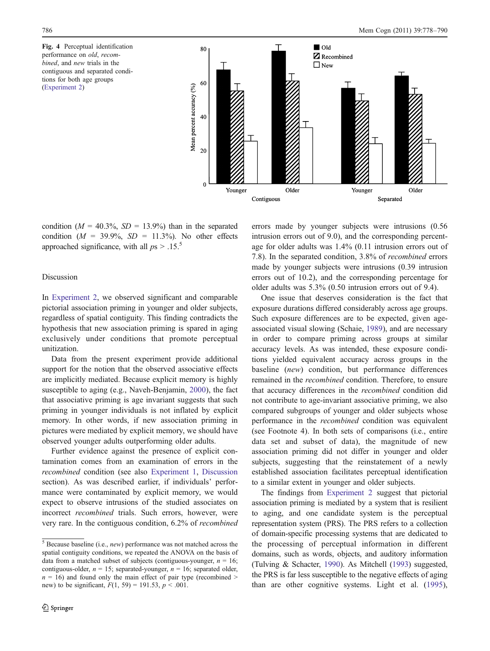<span id="page-8-0"></span>Fig. 4 Perceptual identification performance on old, recombined, and new trials in the contiguous and separated conditions for both age groups ([Experiment 2\)](#page-6-0)



condition ( $M = 40.3\%$ ,  $SD = 13.9\%$ ) than in the separated condition ( $M = 39.9\%$ ,  $SD = 11.3\%$ ). No other effects approached significance, with all  $ps > .15$ .<sup>5</sup>

## Discussion

In [Experiment 2](#page-6-0), we observed significant and comparable pictorial association priming in younger and older subjects, regardless of spatial contiguity. This finding contradicts the hypothesis that new association priming is spared in aging exclusively under conditions that promote perceptual unitization.

Data from the present experiment provide additional support for the notion that the observed associative effects are implicitly mediated. Because explicit memory is highly susceptible to aging (e.g., Naveh-Benjamin, [2000](#page-12-0)), the fact that associative priming is age invariant suggests that such priming in younger individuals is not inflated by explicit memory. In other words, if new association priming in pictures were mediated by explicit memory, we should have observed younger adults outperforming older adults.

Further evidence against the presence of explicit contamination comes from an examination of errors in the recombined condition (see also [Experiment 1,](#page-2-0) [Discussion](#page-5-0) section). As was described earlier, if individuals' performance were contaminated by explicit memory, we would expect to observe intrusions of the studied associates on incorrect recombined trials. Such errors, however, were very rare. In the contiguous condition, 6.2% of recombined errors made by younger subjects were intrusions (0.56 intrusion errors out of 9.0), and the corresponding percentage for older adults was 1.4% (0.11 intrusion errors out of 7.8). In the separated condition, 3.8% of recombined errors made by younger subjects were intrusions (0.39 intrusion errors out of 10.2), and the corresponding percentage for older adults was 5.3% (0.50 intrusion errors out of 9.4).

One issue that deserves consideration is the fact that exposure durations differed considerably across age groups. Such exposure differences are to be expected, given ageassociated visual slowing (Schaie, [1989](#page-12-0)), and are necessary in order to compare priming across groups at similar accuracy levels. As was intended, these exposure conditions yielded equivalent accuracy across groups in the baseline (new) condition, but performance differences remained in the recombined condition. Therefore, to ensure that accuracy differences in the recombined condition did not contribute to age-invariant associative priming, we also compared subgroups of younger and older subjects whose performance in the recombined condition was equivalent (see Footnote 4). In both sets of comparisons (i.e., entire data set and subset of data), the magnitude of new association priming did not differ in younger and older subjects, suggesting that the reinstatement of a newly established association facilitates perceptual identification to a similar extent in younger and older subjects.

The findings from [Experiment 2](#page-6-0) suggest that pictorial association priming is mediated by a system that is resilient to aging, and one candidate system is the perceptual representation system (PRS). The PRS refers to a collection of domain-specific processing systems that are dedicated to the processing of perceptual information in different domains, such as words, objects, and auditory information (Tulving & Schacter, [1990\)](#page-12-0). As Mitchell [\(1993\)](#page-12-0) suggested, the PRS is far less susceptible to the negative effects of aging than are other cognitive systems. Light et al. ([1995\)](#page-12-0),

 $\frac{5}{6}$  Because baseline (i.e., *new*) performance was not matched across the spatial contiguity conditions, we repeated the ANOVA on the basis of data from a matched subset of subjects (contiguous-younger,  $n = 16$ ; contiguous-older,  $n = 15$ ; separated-younger,  $n = 16$ ; separated older,  $n = 16$ ) and found only the main effect of pair type (recombined > new) to be significant,  $F(1, 59) = 191.53$ ,  $p < .001$ .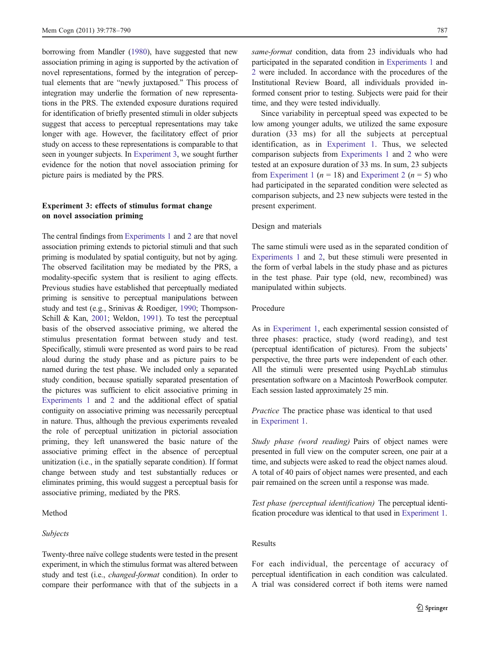<span id="page-9-0"></span>borrowing from Mandler [\(1980\)](#page-12-0), have suggested that new association priming in aging is supported by the activation of novel representations, formed by the integration of perceptual elements that are "newly juxtaposed." This process of integration may underlie the formation of new representations in the PRS. The extended exposure durations required for identification of briefly presented stimuli in older subjects suggest that access to perceptual representations may take longer with age. However, the facilitatory effect of prior study on access to these representations is comparable to that seen in younger subjects. In Experiment 3, we sought further evidence for the notion that novel association priming for picture pairs is mediated by the PRS.

# Experiment 3: effects of stimulus format change on novel association priming

The central findings from [Experiments 1](#page-2-0) and [2](#page-6-0) are that novel association priming extends to pictorial stimuli and that such priming is modulated by spatial contiguity, but not by aging. The observed facilitation may be mediated by the PRS, a modality-specific system that is resilient to aging effects. Previous studies have established that perceptually mediated priming is sensitive to perceptual manipulations between study and test (e.g., Srinivas & Roediger, [1990](#page-12-0); Thompson-Schill & Kan, [2001;](#page-12-0) Weldon, [1991\)](#page-12-0). To test the perceptual basis of the observed associative priming, we altered the stimulus presentation format between study and test. Specifically, stimuli were presented as word pairs to be read aloud during the study phase and as picture pairs to be named during the test phase. We included only a separated study condition, because spatially separated presentation of the pictures was sufficient to elicit associative priming in [Experiments 1](#page-2-0) and [2](#page-6-0) and the additional effect of spatial contiguity on associative priming was necessarily perceptual in nature. Thus, although the previous experiments revealed the role of perceptual unitization in pictorial association priming, they left unanswered the basic nature of the associative priming effect in the absence of perceptual unitization (i.e., in the spatially separate condition). If format change between study and test substantially reduces or eliminates priming, this would suggest a perceptual basis for associative priming, mediated by the PRS.

## Method

# Subjects

Twenty-three naïve college students were tested in the present experiment, in which the stimulus format was altered between study and test (i.e., changed-format condition). In order to compare their performance with that of the subjects in a same-format condition, data from 23 individuals who had participated in the separated condition in [Experiments 1](#page-2-0) and [2](#page-6-0) were included. In accordance with the procedures of the Institutional Review Board, all individuals provided informed consent prior to testing. Subjects were paid for their time, and they were tested individually.

Since variability in perceptual speed was expected to be low among younger adults, we utilized the same exposure duration (33 ms) for all the subjects at perceptual identification, as in [Experiment 1.](#page-2-0) Thus, we selected comparison subjects from [Experiments 1](#page-2-0) and [2](#page-6-0) who were tested at an exposure duration of 33 ms. In sum, 23 subjects from [Experiment 1](#page-2-0) ( $n = 18$ ) and [Experiment 2](#page-6-0) ( $n = 5$ ) who had participated in the separated condition were selected as comparison subjects, and 23 new subjects were tested in the present experiment.

#### Design and materials

The same stimuli were used as in the separated condition of [Experiments 1](#page-2-0) and [2](#page-6-0), but these stimuli were presented in the form of verbal labels in the study phase and as pictures in the test phase. Pair type (old, new, recombined) was manipulated within subjects.

## Procedure

As in [Experiment 1,](#page-2-0) each experimental session consisted of three phases: practice, study (word reading), and test (perceptual identification of pictures). From the subjects' perspective, the three parts were independent of each other. All the stimuli were presented using PsychLab stimulus presentation software on a Macintosh PowerBook computer. Each session lasted approximately 25 min.

Practice The practice phase was identical to that used in [Experiment 1](#page-2-0).

Study phase (word reading) Pairs of object names were presented in full view on the computer screen, one pair at a time, and subjects were asked to read the object names aloud. A total of 40 pairs of object names were presented, and each pair remained on the screen until a response was made.

Test phase (perceptual identification) The perceptual identification procedure was identical to that used in [Experiment 1](#page-2-0).

# Results

For each individual, the percentage of accuracy of perceptual identification in each condition was calculated. A trial was considered correct if both items were named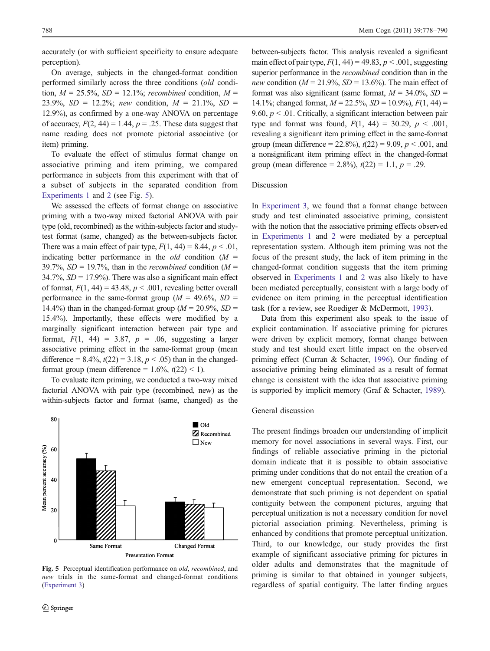accurately (or with sufficient specificity to ensure adequate perception).

On average, subjects in the changed-format condition performed similarly across the three conditions (old condition,  $M = 25.5\%$ ,  $SD = 12.1\%$ ; recombined condition,  $M =$ 23.9%,  $SD = 12.2\%$ ; new condition,  $M = 21.1\%$ ,  $SD =$ 12.9%), as confirmed by a one-way ANOVA on percentage of accuracy,  $F(2, 44) = 1.44$ ,  $p = .25$ . These data suggest that name reading does not promote pictorial associative (or item) priming.

To evaluate the effect of stimulus format change on associative priming and item priming, we compared performance in subjects from this experiment with that of a subset of subjects in the separated condition from [Experiments 1](#page-2-0) and [2](#page-6-0) (see Fig. 5).

We assessed the effects of format change on associative priming with a two-way mixed factorial ANOVA with pair type (old, recombined) as the within-subjects factor and studytest format (same, changed) as the between-subjects factor. There was a main effect of pair type,  $F(1, 44) = 8.44$ ,  $p < .01$ , indicating better performance in the *old* condition  $(M =$ 39.7%,  $SD = 19.7$ %, than in the *recombined* condition ( $M =$  $34.7\%$ ,  $SD = 17.9\%$ ). There was also a significant main effect of format,  $F(1, 44) = 43.48$ ,  $p < .001$ , revealing better overall performance in the same-format group ( $M = 49.6\%$ ,  $SD =$ 14.4%) than in the changed-format group ( $M = 20.9\%$ ,  $SD =$ 15.4%). Importantly, these effects were modified by a marginally significant interaction between pair type and format,  $F(1, 44) = 3.87$ ,  $p = .06$ , suggesting a larger associative priming effect in the same-format group (mean difference =  $8.4\%$ ,  $t(22) = 3.18$ ,  $p < .05$ ) than in the changedformat group (mean difference =  $1.6\%$ ,  $t(22)$  < 1).

To evaluate item priming, we conducted a two-way mixed factorial ANOVA with pair type (recombined, new) as the within-subjects factor and format (same, changed) as the



Fig. 5 Perceptual identification performance on old, recombined, and new trials in the same-format and changed-format conditions ([Experiment 3\)](#page-9-0)

between-subjects factor. This analysis revealed a significant main effect of pair type,  $F(1, 44) = 49.83$ ,  $p < .001$ , suggesting superior performance in the *recombined* condition than in the new condition ( $M = 21.9\%$ ,  $SD = 13.6\%$ ). The main effect of format was also significant (same format,  $M = 34.0\%$ ,  $SD =$ 14.1%; changed format,  $M = 22.5\%$ ,  $SD = 10.9\%$ ),  $F(1, 44) =$ 9.60,  $p < 0.01$ . Critically, a significant interaction between pair type and format was found,  $F(1, 44) = 30.29$ ,  $p < .001$ , revealing a significant item priming effect in the same-format group (mean difference = 22.8%),  $t(22) = 9.09$ ,  $p < .001$ , and a nonsignificant item priming effect in the changed-format group (mean difference = 2.8%),  $t(22) = 1.1$ ,  $p = .29$ .

## Discussion

In [Experiment 3](#page-9-0), we found that a format change between study and test eliminated associative priming, consistent with the notion that the associative priming effects observed in [Experiments 1](#page-2-0) and [2](#page-6-0) were mediated by a perceptual representation system. Although item priming was not the focus of the present study, the lack of item priming in the changed-format condition suggests that the item priming observed in [Experiments 1](#page-2-0) and [2](#page-6-0) was also likely to have been mediated perceptually, consistent with a large body of evidence on item priming in the perceptual identification task (for a review, see Roediger & McDermott, [1993](#page-12-0)).

Data from this experiment also speak to the issue of explicit contamination. If associative priming for pictures were driven by explicit memory, format change between study and test should exert little impact on the observed priming effect (Curran & Schacter, [1996](#page-11-0)). Our finding of associative priming being eliminated as a result of format change is consistent with the idea that associative priming is supported by implicit memory (Graf & Schacter, [1989\)](#page-11-0).

#### General discussion

The present findings broaden our understanding of implicit memory for novel associations in several ways. First, our findings of reliable associative priming in the pictorial domain indicate that it is possible to obtain associative priming under conditions that do not entail the creation of a new emergent conceptual representation. Second, we demonstrate that such priming is not dependent on spatial contiguity between the component pictures, arguing that perceptual unitization is not a necessary condition for novel pictorial association priming. Nevertheless, priming is enhanced by conditions that promote perceptual unitization. Third, to our knowledge, our study provides the first example of significant associative priming for pictures in older adults and demonstrates that the magnitude of priming is similar to that obtained in younger subjects, regardless of spatial contiguity. The latter finding argues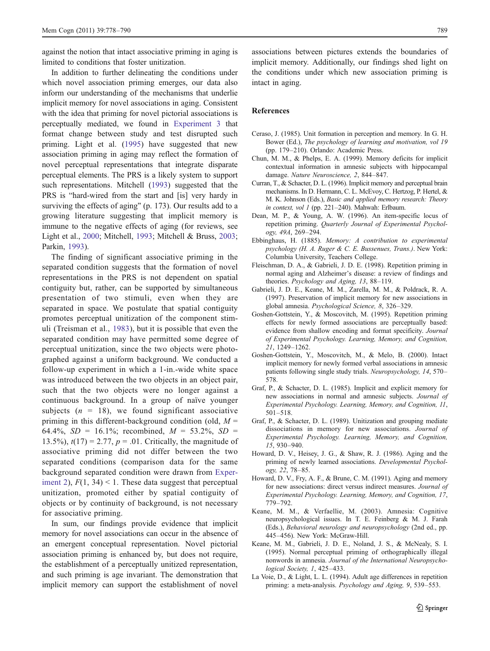<span id="page-11-0"></span>against the notion that intact associative priming in aging is limited to conditions that foster unitization.

In addition to further delineating the conditions under which novel association priming emerges, our data also inform our understanding of the mechanisms that underlie implicit memory for novel associations in aging. Consistent with the idea that priming for novel pictorial associations is perceptually mediated, we found in [Experiment 3](#page-9-0) that format change between study and test disrupted such priming. Light et al. [\(1995](#page-12-0)) have suggested that new association priming in aging may reflect the formation of novel perceptual representations that integrate disparate perceptual elements. The PRS is a likely system to support such representations. Mitchell [\(1993\)](#page-12-0) suggested that the PRS is "hard-wired from the start and [is] very hardy in surviving the effects of aging" (p. 173). Our results add to a growing literature suggesting that implicit memory is immune to the negative effects of aging (for reviews, see Light et al., [2000;](#page-12-0) Mitchell, [1993](#page-12-0); Mitchell & Bruss, [2003](#page-12-0); Parkin, [1993\)](#page-12-0).

The finding of significant associative priming in the separated condition suggests that the formation of novel representations in the PRS is not dependent on spatial contiguity but, rather, can be supported by simultaneous presentation of two stimuli, even when they are separated in space. We postulate that spatial contiguity promotes perceptual unitization of the component stimuli (Treisman et al., [1983\)](#page-12-0), but it is possible that even the separated condition may have permitted some degree of perceptual unitization, since the two objects were photographed against a uniform background. We conducted a follow-up experiment in which a 1-in.-wide white space was introduced between the two objects in an object pair, such that the two objects were no longer against a continuous background. In a group of naïve younger subjects  $(n = 18)$ , we found significant associative priming in this different-background condition (old,  $M =$ 64.4%,  $SD = 16.1\%$ ; recombined,  $M = 53.2\%$ ,  $SD =$ 13.5%),  $t(17) = 2.77$ ,  $p = .01$ . Critically, the magnitude of associative priming did not differ between the two separated conditions (comparison data for the same background separated condition were drawn from [Exper](#page-6-0)[iment 2](#page-6-0)),  $F(1, 34)$  < 1. These data suggest that perceptual unitization, promoted either by spatial contiguity of objects or by continuity of background, is not necessary for associative priming.

In sum, our findings provide evidence that implicit memory for novel associations can occur in the absence of an emergent conceptual representation. Novel pictorial association priming is enhanced by, but does not require, the establishment of a perceptually unitized representation, and such priming is age invariant. The demonstration that implicit memory can support the establishment of novel

associations between pictures extends the boundaries of implicit memory. Additionally, our findings shed light on the conditions under which new association priming is intact in aging.

## References

- Ceraso, J. (1985). Unit formation in perception and memory. In G. H. Bower (Ed.), The psychology of learning and motivation, vol 19 (pp. 179–210). Orlando: Academic Press.
- Chun, M. M., & Phelps, E. A. (1999). Memory deficits for implicit contextual information in amnesic subjects with hippocampal damage. Nature Neuroscience, 2, 844–847.
- Curran, T., & Schacter, D. L. (1996). Implicit memory and perceptual brain mechanisms. In D. Hermann, C. L. McEvoy, C. Hertzog, P. Hertel, & M. K. Johnson (Eds.), Basic and applied memory research: Theory in context, vol 1 (pp. 221-240). Mahwah: Erlbaum.
- Dean, M. P., & Young, A. W. (1996). An item-specific locus of repetition priming. Quarterly Journal of Experimental Psychology, 49A, 269–294.
- Ebbinghaus, H. (1885). Memory: A contribution to experimental psychology (H. A. Ruger & C. E. Bussenues, Trans.). New York: Columbia University, Teachers College.
- Fleischman, D. A., & Gabrieli, J. D. E. (1998). Repetition priming in normal aging and Alzheimer's disease: a review of findings and theories. Psychology and Aging, 13, 88-119.
- Gabrieli, J. D. E., Keane, M. M., Zarella, M. M., & Poldrack, R. A. (1997). Preservation of implicit memory for new associations in global amnesia. Psychological Science, 8, 326–329.
- Goshen-Gottstein, Y., & Moscovitch, M. (1995). Repetition priming effects for newly formed associations are perceptually based: evidence from shallow encoding and format specificity. Journal of Experimental Psychology. Learning, Memory, and Cognition, 21, 1249–1262.
- Goshen-Gottstein, Y., Moscovitch, M., & Melo, B. (2000). Intact implicit memory for newly formed verbal associations in amnesic patients following single study trials. Neuropsychology, 14, 570– 578.
- Graf, P., & Schacter, D. L. (1985). Implicit and explicit memory for new associations in normal and amnesic subjects. Journal of Experimental Psychology. Learning, Memory, and Cognition, 11, 501–518.
- Graf, P., & Schacter, D. L. (1989). Unitization and grouping mediate dissociations in memory for new associations. Journal of Experimental Psychology. Learning, Memory, and Cognition, 15, 930–940.
- Howard, D. V., Heisey, J. G., & Shaw, R. J. (1986). Aging and the priming of newly learned associations. Developmental Psychology, 22, 78–85.
- Howard, D. V., Fry, A. F., & Brune, C. M. (1991). Aging and memory for new associations: direct versus indirect measures. Journal of Experimental Psychology. Learning, Memory, and Cognition, 17, 779–792.
- Keane, M. M., & Verfaellie, M. (2003). Amnesia: Cognitive neuropsychological issues. In T. E. Feinberg & M. J. Farah (Eds.), Behavioral neurology and neuropsychology (2nd ed., pp. 445–456). New York: McGraw-Hill.
- Keane, M. M., Gabrieli, J. D. E., Noland, J. S., & McNealy, S. I. (1995). Normal perceptual priming of orthographically illegal nonwords in amnesia. Journal of the International Neuropsychological Society, 1, 425–433.
- La Voie, D., & Light, L. L. (1994). Adult age differences in repetition priming: a meta-analysis. Psychology and Aging, 9, 539–553.